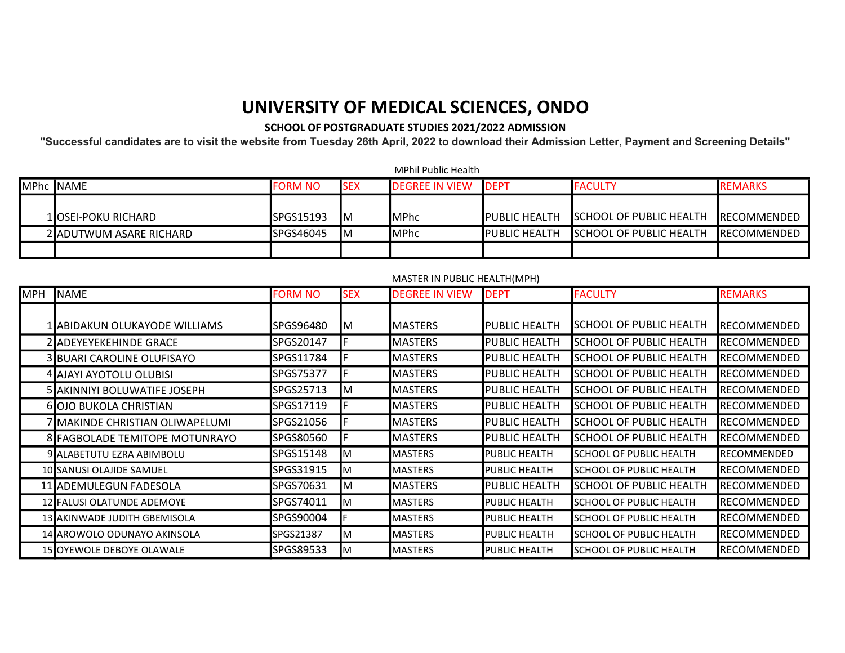## UNIVERSITY OF MEDICAL SCIENCES, ONDO

## SCHOOL OF POSTGRADUATE STUDIES 2021/2022 ADMISSION

"Successful candidates are to visit the website from Tuesday 26th April, 2022 to download their Admission Letter, Payment and Screening Details"

|                         |                    |            | MPhil Public Health   |                       |                                |                     |
|-------------------------|--------------------|------------|-----------------------|-----------------------|--------------------------------|---------------------|
| MPhc NAME               | <b>FORM NO</b>     | <b>SEX</b> | <b>DEGREE IN VIEW</b> | <b>IDEPT</b>          | <b>IFACULTY</b>                | <b>REMARKS</b>      |
|                         |                    |            |                       |                       |                                |                     |
| 1lOSEI-POKU RICHARD     | <b>I</b> SPGS15193 | ΙM         | <b>IMPhc</b>          | <b>IPUBLIC HEALTH</b> | <b>SCHOOL OF PUBLIC HEALTH</b> | IRECOMMENDED        |
| 2 ADUTWUM ASARE RICHARD | SPGS46045          | ΙM         | <b>IMPhc</b>          | <b>PUBLIC HEALTH</b>  | <b>SCHOOL OF PUBLIC HEALTH</b> | <b>IRECOMMENDED</b> |
|                         |                    |            |                       |                       |                                |                     |

## MASTER IN PUBLIC HEALTH(MPH)

| <b>MPH</b> | <b>INAME</b>                    | <b>FORM NO</b> | <b>SEX</b> | <b>DEGREE IN VIEW</b> | <b>DEPT</b>          | <b>FACULTY</b>                 | <b>REMARKS</b>       |
|------------|---------------------------------|----------------|------------|-----------------------|----------------------|--------------------------------|----------------------|
|            |                                 |                |            |                       |                      |                                |                      |
|            | 1 JABIDAKUN OLUKAYODE WILLIAMS  | SPGS96480      | M          | IMASTERS              | <b>PUBLIC HEALTH</b> | SCHOOL OF PUBLIC HEALTH        | <b>I</b> RECOMMENDED |
|            | 2 ADEYEYEKEHINDE GRACE          | SPGS20147      |            | IMASTERS              | <b>PUBLIC HEALTH</b> | <b>SCHOOL OF PUBLIC HEALTH</b> | <b>RECOMMENDED</b>   |
|            | 3 BUARI CAROLINE OLUFISAYO      | SPGS11784      |            | <b>MASTERS</b>        | <b>PUBLIC HEALTH</b> | SCHOOL OF PUBLIC HEALTH        | <b>RECOMMENDED</b>   |
|            | 4 AJAYI AYOTOLU OLUBISI         | SPGS75377      |            | <b>MASTERS</b>        | <b>PUBLIC HEALTH</b> | <b>SCHOOL OF PUBLIC HEALTH</b> | <b>RECOMMENDED</b>   |
|            | 5lakinniyi BOLUWATIFE JOSEPH    | SPGS25713      | IΜ         | <b>MASTERS</b>        | <b>PUBLIC HEALTH</b> | SCHOOL OF PUBLIC HEALTH        | <b>RECOMMENDED</b>   |
|            | 6 OJO BUKOLA CHRISTIAN          | SPGS17119      |            | <b>MASTERS</b>        | <b>PUBLIC HEALTH</b> | <b>SCHOOL OF PUBLIC HEALTH</b> | <b>RECOMMENDED</b>   |
|            | 7 MAKINDE CHRISTIAN OLIWAPELUMI | SPGS21056      |            | IMASTERS              | <b>PUBLIC HEALTH</b> | ISCHOOL OF PUBLIC HEALTH       | <b>I</b> RECOMMENDED |
|            | 8 FAGBOLADE TEMITOPE MOTUNRAYO  | SPGS80560      |            | <b>MASTERS</b>        | <b>PUBLIC HEALTH</b> | <b>SCHOOL OF PUBLIC HEALTH</b> | <b>RECOMMENDED</b>   |
|            | 9 ALABETUTU EZRA ABIMBOLU       | SPGS15148      | IΜ         | <b>MASTERS</b>        | <b>PUBLIC HEALTH</b> | <b>SCHOOL OF PUBLIC HEALTH</b> | <b>RECOMMENDED</b>   |
|            | 10 SANUSI OLAJIDE SAMUEL        | SPGS31915      | IΜ         | <b>MASTERS</b>        | <b>PUBLIC HEALTH</b> | ISCHOOL OF PUBLIC HEALTH       | <b>RECOMMENDED</b>   |
|            | 11 ADEMULEGUN FADESOLA          | SPGS70631      | ΙM         | IMASTERS              | <b>PUBLIC HEALTH</b> | SCHOOL OF PUBLIC HEALTH        | <b>RECOMMENDED</b>   |
|            | 12 FALUSI OLATUNDE ADEMOYE      | SPGS74011      | IΜ         | <b>MASTERS</b>        | <b>PUBLIC HEALTH</b> | SCHOOL OF PUBLIC HEALTH        | <b>RECOMMENDED</b>   |
|            | 13 AKINWADE JUDITH GBEMISOLA    | SPGS90004      |            | <b>MASTERS</b>        | <b>PUBLIC HEALTH</b> | <b>SCHOOL OF PUBLIC HEALTH</b> | <b>RECOMMENDED</b>   |
|            | 14 AROWOLO ODUNAYO AKINSOLA     | SPGS21387      | M          | <b>MASTERS</b>        | <b>PUBLIC HEALTH</b> | <b>SCHOOL OF PUBLIC HEALTH</b> | <b>RECOMMENDED</b>   |
|            | 15 OYEWOLE DEBOYE OLAWALE       | SPGS89533      | IM.        | <b>MASTERS</b>        | <b>PUBLIC HEALTH</b> | <b>SCHOOL OF PUBLIC HEALTH</b> | <b>RECOMMENDED</b>   |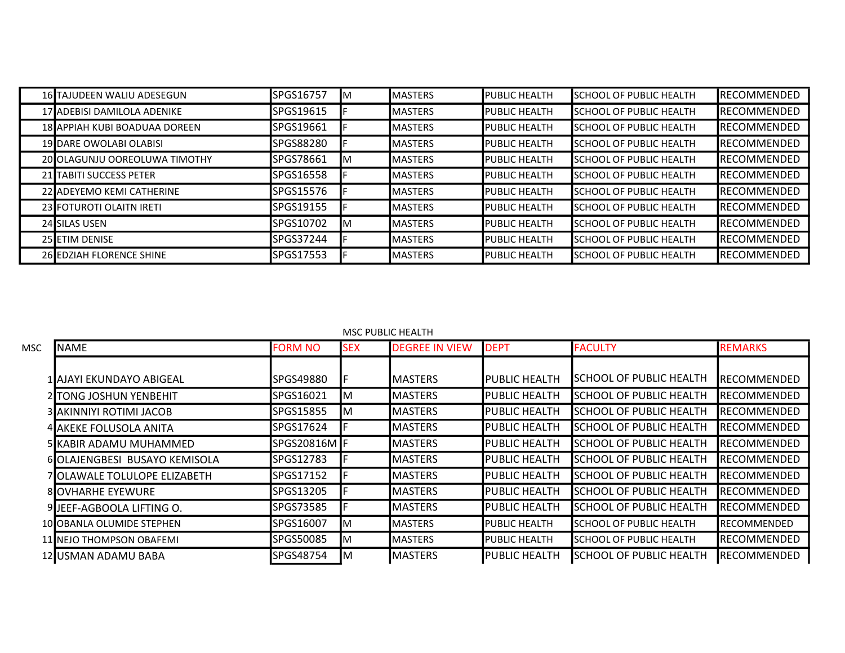| 16 TAJUDEEN WALIU ADESEGUN    | SPGS16757 | ΙM | <b>IMASTERS</b> | <b>PUBLIC HEALTH</b>   | <b>I</b> SCHOOL OF PUBLIC HEALTH | <b>IRECOMMENDED</b> |
|-------------------------------|-----------|----|-----------------|------------------------|----------------------------------|---------------------|
| 17 ADEBISI DAMILOLA ADENIKE   | SPGS19615 |    | <b>IMASTERS</b> | <b>PUBLIC HEALTH</b>   | <b>I</b> SCHOOL OF PUBLIC HEALTH | <b>IRECOMMENDED</b> |
| 18 APPIAH KUBI BOADUAA DOREEN | SPGS19661 |    | <b>IMASTERS</b> | <b>I</b> PUBLIC HEALTH | <b>ISCHOOL OF PUBLIC HEALTH</b>  | <b>IRECOMMENDED</b> |
| 19 DARE OWOLABI OLABISI       | SPGS88280 |    | <b>IMASTERS</b> | <b>PUBLIC HEALTH</b>   | <b>I</b> SCHOOL OF PUBLIC HEALTH | <b>IRECOMMENDED</b> |
| 20 OLAGUNJU OOREOLUWA TIMOTHY | SPGS78661 | IΜ | <b>IMASTERS</b> | <b>IPUBLIC HEALTH</b>  | <b>I</b> SCHOOL OF PUBLIC HEALTH | <b>IRECOMMENDED</b> |
| 21 TABITI SUCCESS PETER       | SPGS16558 |    | <b>IMASTERS</b> | <b>I</b> PUBLIC HEALTH | <b>I</b> SCHOOL OF PUBLIC HEALTH | <b>IRECOMMENDED</b> |
| 22 ADEYEMO KEMI CATHERINE     | SPGS15576 |    | <b>IMASTERS</b> | <b>PUBLIC HEALTH</b>   | <b>I</b> SCHOOL OF PUBLIC HEALTH | <b>IRECOMMENDED</b> |
| 23 FOTUROTI OLAITN IRETI      | SPGS19155 |    | <b>IMASTERS</b> | <b>I</b> PUBLIC HEALTH | <b>I</b> SCHOOL OF PUBLIC HEALTH | <b>IRECOMMENDED</b> |
| 24 SILAS USEN                 | SPGS10702 | ΙM | <b>IMASTERS</b> | <b>PUBLIC HEALTH</b>   | <b>I</b> SCHOOL OF PUBLIC HEALTH | <b>IRECOMMENDED</b> |
| 25 ETIM DENISE                | SPGS37244 |    | <b>IMASTERS</b> | <b>PUBLIC HEALTH</b>   | <b>ISCHOOL OF PUBLIC HEALTH</b>  | <b>IRECOMMENDED</b> |
| 26 EDZIAH FLORENCE SHINE      | SPGS17553 |    | <b>IMASTERS</b> | <b>I</b> PUBLIC HEALTH | <b>ISCHOOL OF PUBLIC HEALTH</b>  | <b>IRECOMMENDED</b> |

| MSC. | <b>I</b> NAME                 | <b>FORM NO</b> | <b>SEX</b> | <b>DEGREE IN VIEW</b> | <b>DEPT</b>          | <b>FACULTY</b>                   | <b>REMARKS</b>       |
|------|-------------------------------|----------------|------------|-----------------------|----------------------|----------------------------------|----------------------|
|      |                               |                |            |                       |                      |                                  |                      |
|      | 1 AJAYI EKUNDAYO ABIGEAL      | SPGS49880      |            | IMASTERS              | PUBLIC HEALTH        | SCHOOL OF PUBLIC HEALTH          | <b>I</b> RECOMMENDED |
|      | 2 TONG JOSHUN YENBEHIT        | SPGS16021      | Iм         | <b>I</b> MASTERS      | PUBLIC HEALTH        | <b>SCHOOL OF PUBLIC HEALTH</b>   | <b>RECOMMENDED</b>   |
|      | 3 AKINNIYI ROTIMI JACOB       | SPGS15855      | ΙM         | <b>MASTERS</b>        | PUBLIC HEALTH        | SCHOOL OF PUBLIC HEALTH          | <b>RECOMMENDED</b>   |
|      | 4 AKEKE FOLUSOLA ANITA        | SPGS17624      |            | <b>MASTERS</b>        | PUBLIC HEALTH        | ISCHOOL OF PUBLIC HEALTH         | <b>RECOMMENDED</b>   |
|      | 5 KABIR ADAMU MUHAMMED        | SPGS20816M F   |            | <b>MASTERS</b>        | <b>PUBLIC HEALTH</b> | <b>SCHOOL OF PUBLIC HEALTH</b>   | <b>RECOMMENDED</b>   |
|      | 6 OLAJENGBESI BUSAYO KEMISOLA | SPGS12783      |            | <b>MASTERS</b>        | PUBLIC HEALTH        | SCHOOL OF PUBLIC HEALTH          | <b>RECOMMENDED</b>   |
|      | 7 OLAWALE TOLULOPE ELIZABETH  | SPGS17152      |            | <b>MASTERS</b>        | PUBLIC HEALTH        | <b>I</b> SCHOOL OF PUBLIC HEALTH | <b>IRECOMMENDED</b>  |
|      | <b>8IOVHARHE EYEWURE</b>      | SPGS13205      |            | <b>MASTERS</b>        | PUBLIC HEALTH        | <b>SCHOOL OF PUBLIC HEALTH</b>   | <b>IRECOMMENDED</b>  |
|      | 9 JEEF-AGBOOLA LIFTING O.     | SPGS73585      |            | <b>MASTERS</b>        | PUBLIC HEALTH        | <b>SCHOOL OF PUBLIC HEALTH</b>   | <b>RECOMMENDED</b>   |
|      | 10 OBANLA OLUMIDE STEPHEN     | SPGS16007      | IM.        | <b>I</b> MASTERS      | <b>PUBLIC HEALTH</b> | <b>SCHOOL OF PUBLIC HEALTH</b>   | <b>I</b> RECOMMENDED |
|      | 11 INEJO THOMPSON OBAFEMI     | SPGS50085      | IΜ         | <b>IMASTERS</b>       | <b>PUBLIC HEALTH</b> | ISCHOOL OF PUBLIC HEALTH         | <b>RECOMMENDED</b>   |
|      | 12 USMAN ADAMU BABA           | SPGS48754      | IΜ         | <b>MASTERS</b>        | <b>PUBLIC HEALTH</b> | <b>SCHOOL OF PUBLIC HEALTH</b>   | <b>IRECOMMENDED</b>  |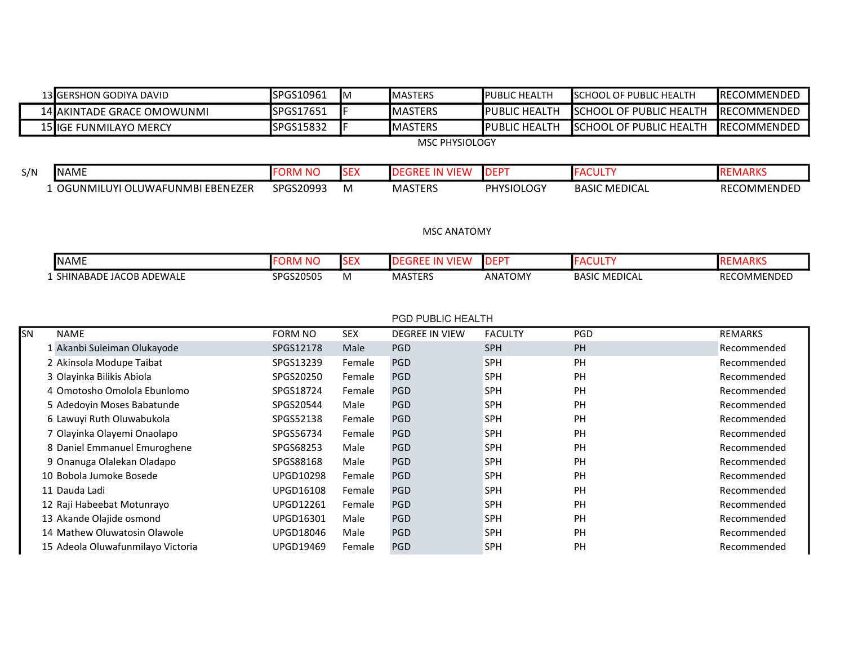|           | 13 GERSHON GODIYA DAVID           | SPGS10961        | Iм         | <b>MASTERS</b>        | PUBLIC HEALTH     | <b>SCHOOL OF PUBLIC HEALTH</b> | <b>RECOMMENDED</b> |
|-----------|-----------------------------------|------------------|------------|-----------------------|-------------------|--------------------------------|--------------------|
|           | 14 AKINTADE GRACE OMOWUNMI        | SPGS17651        |            | <b>MASTERS</b>        | PUBLIC HEALTH     | <b>SCHOOL OF PUBLIC HEALTH</b> | <b>RECOMMENDED</b> |
|           | 15 IGE FUNMILAYO MERCY            | SPGS15832        | F          | <b>MASTERS</b>        | PUBLIC HEALTH     | <b>SCHOOL OF PUBLIC HEALTH</b> | RECOMMENDED        |
|           |                                   |                  |            | <b>MSC PHYSIOLOGY</b> |                   |                                |                    |
|           |                                   |                  |            |                       |                   |                                |                    |
| S/N       | <b>NAME</b>                       | <b>FORM NO</b>   | <b>SEX</b> | <b>DEGREE IN VIEW</b> | <b>DEPT</b>       | <b>FACULTY</b>                 | <b>REMARKS</b>     |
|           | 1 OGUNMILUYI OLUWAFUNMBI EBENEZER | SPGS20993        | M          | <b>MASTERS</b>        | <b>PHYSIOLOGY</b> | <b>BASIC MEDICAL</b>           | RECOMMENDED        |
|           |                                   |                  |            |                       |                   |                                |                    |
|           |                                   |                  |            |                       |                   |                                |                    |
|           |                                   |                  |            | <b>MSC ANATOMY</b>    |                   |                                |                    |
|           | <b>NAME</b>                       | <b>FORM NO</b>   | <b>SEX</b> | <b>DEGREE IN VIEW</b> | <b>DEPT</b>       | <b>FACULTY</b>                 | <b>REMARKS</b>     |
|           | 1 SHINABADE JACOB ADEWALE         | SPGS20505        | M          | <b>MASTERS</b>        | <b>ANATOMY</b>    | <b>BASIC MEDICAL</b>           | RECOMMENDED        |
|           |                                   |                  |            |                       |                   |                                |                    |
|           |                                   |                  |            |                       |                   |                                |                    |
|           |                                   |                  |            | PGD PUBLIC HEALTH     |                   |                                |                    |
|           |                                   |                  |            |                       |                   |                                |                    |
| <b>SN</b> | <b>NAME</b>                       | <b>FORM NO</b>   | <b>SEX</b> | <b>DEGREE IN VIEW</b> | <b>FACULTY</b>    | PGD                            | <b>REMARKS</b>     |
|           | 1 Akanbi Suleiman Olukayode       | SPGS12178        | Male       | PGD                   | SPH               | PH                             | Recommended        |
|           | 2 Akinsola Modupe Taibat          | SPGS13239        | Female     | <b>PGD</b>            | SPH               | PH                             | Recommended        |
|           | 3 Olayinka Bilikis Abiola         | SPGS20250        | Female     | <b>PGD</b>            | SPH               | PH                             | Recommended        |
|           | 4 Omotosho Omolola Ebunlomo       | SPGS18724        | Female     | <b>PGD</b>            | <b>SPH</b>        | PH                             | Recommended        |
|           | 5 Adedoyin Moses Babatunde        | SPGS20544        | Male       | PGD                   | SPH               | PH                             | Recommended        |
|           | 6 Lawuyi Ruth Oluwabukola         | SPGS52138        | Female     | PGD                   | SPH               | PH                             | Recommended        |
|           | 7 Olayinka Olayemi Onaolapo       | SPGS56734        | Female     | PGD                   | <b>SPH</b>        | <b>PH</b>                      | Recommended        |
|           | 8 Daniel Emmanuel Emuroghene      | SPGS68253        | Male       | <b>PGD</b>            | <b>SPH</b>        | PH                             | Recommended        |
|           | 9 Onanuga Olalekan Oladapo        | SPGS88168        | Male       | <b>PGD</b>            | SPH               | PH                             | Recommended        |
|           | 10 Bobola Jumoke Bosede           | <b>UPGD10298</b> | Female     | <b>PGD</b>            | SPH               | PH                             | Recommended        |
|           | 11 Dauda Ladi                     | <b>UPGD16108</b> | Female     | PGD                   | <b>SPH</b>        | PH                             | Recommended        |
|           | 12 Raji Habeebat Motunrayo        | <b>UPGD12261</b> | Female     | <b>PGD</b>            | SPH               | PH                             | Recommended        |
|           | 13 Akande Olajide osmond          | UPGD16301        | Male       | <b>PGD</b>            | SPH               | PH                             | Recommended        |
|           | 14 Mathew Oluwatosin Olawole      | UPGD18046        | Male       | <b>PGD</b>            | SPH               | PH                             | Recommended        |